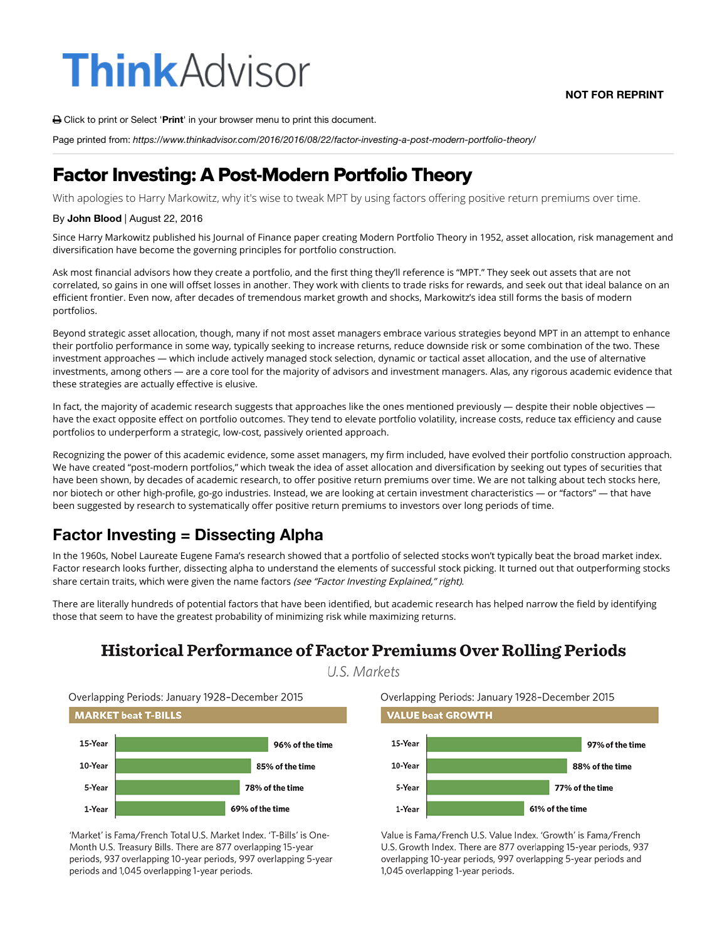# **Think**Advisor

**NOT FOR REPRINT**

! Click to print or Select '**Print**' in your browser menu to print this document.

Page printed from: *https://www.thinkadvisor.com/2016/2016/08/22/factor-investing-a-post-modern-portfolio-theory/*

## Factor Investing: A Post-Modern Portfolio Theory

With apologies to Harry Markowitz, why it's wise to tweak MPT by using factors offering positive return premiums over time.

#### By **John Blood** | August 22, 2016

Since Harry Markowitz published his Journal of Finance paper creating Modern Portfolio Theory in 1952, asset allocation, risk management and diversification have become the governing principles for portfolio construction.

Ask most financial advisors how they create a portfolio, and the first thing they'll reference is "MPT." They seek out assets that are not correlated, so gains in one will offset losses in another. They work with clients to trade risks for rewards, and seek out that ideal balance on an efficient frontier. Even now, after decades of tremendous market growth and shocks, Markowitz's idea still forms the basis of modern portfolios.

Beyond strategic asset allocation, though, many if not most asset managers embrace various strategies beyond MPT in an attempt to enhance their portfolio performance in some way, typically seeking to increase returns, reduce downside risk or some combination of the two. These investment approaches — which include actively managed stock selection, dynamic or tactical asset allocation, and the use of alternative investments, among others — are a core tool for the majority of advisors and investment managers. Alas, any rigorous academic evidence that these strategies are actually effective is elusive.

In fact, the majority of academic research suggests that approaches like the ones mentioned previously  $-$  despite their noble objectives  $$ have the exact opposite effect on portfolio outcomes. They tend to elevate portfolio volatility, increase costs, reduce tax efficiency and cause portfolios to underperform a strategic, low-cost, passively oriented approach.

Recognizing the power of this academic evidence, some asset managers, my firm included, have evolved their portfolio construction approach. We have created "post-modern portfolios," which tweak the idea of asset allocation and diversification by seeking out types of securities that have been shown, by decades of academic research, to offer positive return premiums over time. We are not talking about tech stocks here, nor biotech or other high-profile, go-go industries. Instead, we are looking at certain investment characteristics — or "factors" — that have been suggested by research to systematically offer positive return premiums to investors over long periods of time.

## **Factor Investing = Dissecting Alpha**

In the 1960s, Nobel Laureate Eugene Fama's research showed that a portfolio of selected stocks won't typically beat the broad market index. Factor research looks further, dissecting alpha to understand the elements of successful stock picking. It turned out that outperforming stocks share certain traits, which were given the name factors (see "Factor Investing Explained," right).

There are literally hundreds of potential factors that have been identified, but academic research has helped narrow the field by identifying those that seem to have the greatest probability of minimizing risk while maximizing returns.

## **Historical Performance of Factor Premiums Over Rolling Periods**

U.S. Markets

Overlapping Periods: January 1928-December 2015





'Market' is Fama/French Total U.S. Market Index. 'T-Bills' is One-Month U.S. Treasury Bills. There are 877 overlapping 15-year periods, 937 overlapping 10-year periods, 997 overlapping 5-year periods and 1,045 overlapping 1-year periods.





Value is Fama/French U.S. Value Index. 'Growth' is Fama/French U.S. Growth Index. There are 877 overlapping 15-year periods, 937 overlapping 10-year periods, 997 overlapping 5-year periods and 1,045 overlapping 1-year periods.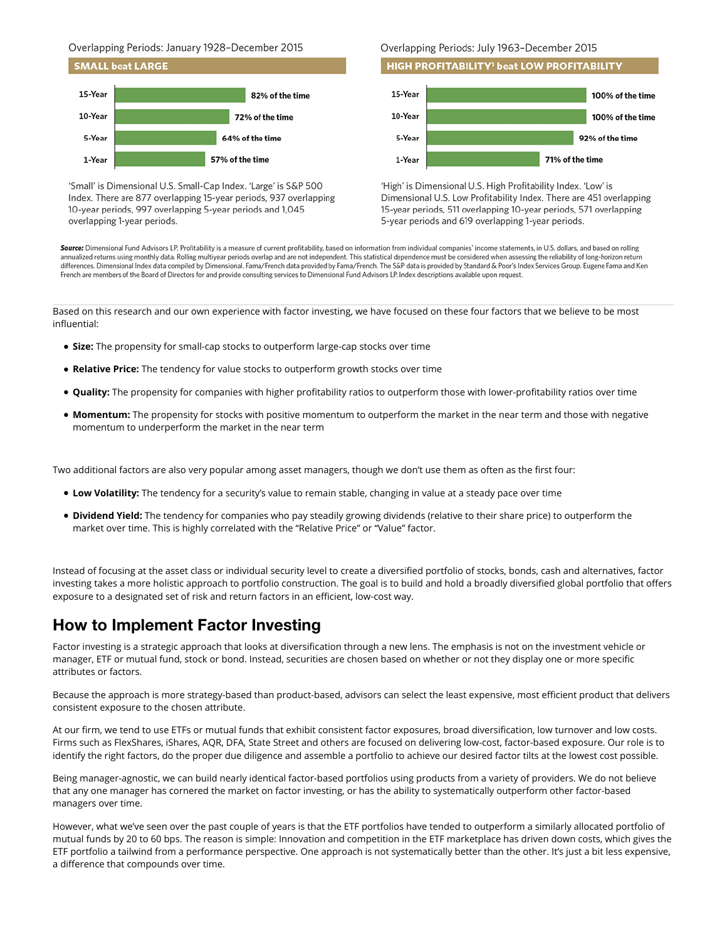Overlapping Periods: January 1928-December 2015



'Small' is Dimensional U.S. Small-Cap Index. 'Large' is S&P 500 Index. There are 877 overlapping 15-year periods, 937 overlapping 10-year periods, 997 overlapping 5-year periods and 1,045 overlapping 1-year periods.

#### Overlapping Periods: July 1963-December 2015





'High' is Dimensional U.S. High Profitability Index. 'Low' is Dimensional U.S. Low Profitability Index. There are 451 overlapping 15-year periods, 511 overlapping 10-year periods, 571 overlapping 5-year periods and 619 overlapping 1-year periods.

Source: Dimensional Fund Advisors LP. Profitability is a measure of current profitability, based on information from individual companies' income statements, in U.S. dollars, and based on rolling annualized returns using monthly data. Rolling multiyear periods overlap and are not independent. This statistical dependence must be considered when assessing the reliability of long-horizon return differences. Dimensional Index data compiled by Dimensional. Fama/French data provided by Fama/French. The S&P data is provided by Standard & Poor's Index Services Group. Eugene Fama and Ken French are members of the Board of Directors for and provide consulting services to Dimensional Fund Advisors LP. Index descriptions available upon request.

Based on this research and our own experience with factor investing, we have focused on these four factors that we believe to be most influential:

- **Size:** The propensity for small-cap stocks to outperform large-cap stocks over time
- **Relative Price:** The tendency for value stocks to outperform growth stocks over time
- . Quality: The propensity for companies with higher profitability ratios to outperform those with lower-profitability ratios over time
- **Momentum:** The propensity for stocks with positive momentum to outperform the market in the near term and those with negative momentum to underperform the market in the near term

Two additional factors are also very popular among asset managers, though we don't use them as often as the first four:

- **Low Volatility:** The tendency for a security's value to remain stable, changing in value at a steady pace over time
- **Dividend Yield:** The tendency for companies who pay steadily growing dividends (relative to their share price) to outperform the market over time. This is highly correlated with the "Relative Price" or "Value" factor.

Instead of focusing at the asset class or individual security level to create a diversified portfolio of stocks, bonds, cash and alternatives, factor investing takes a more holistic approach to portfolio construction. The goal is to build and hold a broadly diversified global portfolio that offers exposure to a designated set of risk and return factors in an efficient, low-cost way.

## **How to Implement Factor Investing**

Factor investing is a strategic approach that looks at diversification through a new lens. The emphasis is not on the investment vehicle or manager, ETF or mutual fund, stock or bond. Instead, securities are chosen based on whether or not they display one or more specific attributes or factors.

Because the approach is more strategy-based than product-based, advisors can select the least expensive, most efficient product that delivers consistent exposure to the chosen attribute.

At our firm, we tend to use ETFs or mutual funds that exhibit consistent factor exposures, broad diversification, low turnover and low costs. Firms such as FlexShares, iShares, AQR, DFA, State Street and others are focused on delivering low-cost, factor-based exposure. Our role is to identify the right factors, do the proper due diligence and assemble a portfolio to achieve our desired factor tilts at the lowest cost possible.

Being manager-agnostic, we can build nearly identical factor-based portfolios using products from a variety of providers. We do not believe that any one manager has cornered the market on factor investing, or has the ability to systematically outperform other factor-based managers over time.

However, what we've seen over the past couple of years is that the ETF portfolios have tended to outperform a similarly allocated portfolio of mutual funds by 20 to 60 bps. The reason is simple: Innovation and competition in the ETF marketplace has driven down costs, which gives the ETF portfolio a tailwind from a performance perspective. One approach is not systematically better than the other. It's just a bit less expensive, a difference that compounds over time.